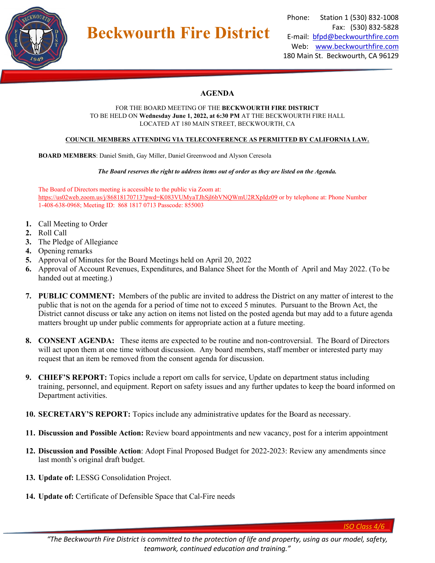

## Phone: Station 1 (530) 832-1008 Fax: (530) 832-5828 E-mail: [bfpd@beckwourthfire.com](mailto:bfpd@beckwourthfire.com) Web: [www.beckwourthfire.com](http://www.beckwourthfire.com/) 180 Main St. Beckwourth, CA 96129

# **AGENDA**

#### FOR THE BOARD MEETING OF THE **BECKWOURTH FIRE DISTRICT** TO BE HELD ON **Wednesday June 1, 2022, at 6:30 PM** AT THE BECKWOURTH FIRE HALL LOCATED AT 180 MAIN STREET, BECKWOURTH, CA

### **COUNCIL MEMBERS ATTENDING VIA TELECONFERENCE AS PERMITTED BY CALIFORNIA LAW.**

**BOARD MEMBERS**: Daniel Smith, Gay Miller, Daniel Greenwood and Alyson Ceresola

**Beckwourth Fire District**

*The Board reserves the right to address items out of order as they are listed on the Agenda.*

The Board of Directors meeting is accessible to the public via Zoom at: <https://us02web.zoom.us/j/86818170713?pwd=K083VUMyaTJhSjl6bVNQWmU2RXpIdz09> or by telephone at: Phone Number 1-408-638-0968; Meeting ID: 868 1817 0713 Passcode: 855003

- **1.** Call Meeting to Order
- **2.** Roll Call
- **3.** The Pledge of Allegiance
- **4.** Opening remarks
- **5.** Approval of Minutes for the Board Meetings held on April 20, 2022
- **6.** Approval of Account Revenues, Expenditures, and Balance Sheet for the Month of April and May 2022. (To be handed out at meeting.)
- **7. PUBLIC COMMENT:** Members of the public are invited to address the District on any matter of interest to the public that is not on the agenda for a period of time not to exceed 5 minutes. Pursuant to the Brown Act, the District cannot discuss or take any action on items not listed on the posted agenda but may add to a future agenda matters brought up under public comments for appropriate action at a future meeting.
- **8. CONSENT AGENDA:** These items are expected to be routine and non-controversial. The Board of Directors will act upon them at one time without discussion. Any board members, staff member or interested party may request that an item be removed from the consent agenda for discussion.
- **9. CHIEF'S REPORT:** Topics include a report om calls for service, Update on department status including training, personnel, and equipment. Report on safety issues and any further updates to keep the board informed on Department activities.
- **10. SECRETARY'S REPORT:** Topics include any administrative updates for the Board as necessary.
- **11. Discussion and Possible Action:** Review board appointments and new vacancy, post for a interim appointment
- **12. Discussion and Possible Action**: Adopt Final Proposed Budget for 2022-2023: Review any amendments since last month's original draft budget.
- **13. Update of:** LESSG Consolidation Project.
- **14. Update of:** Certificate of Defensible Space that Cal-Fire needs

*ISO Class 4/6*